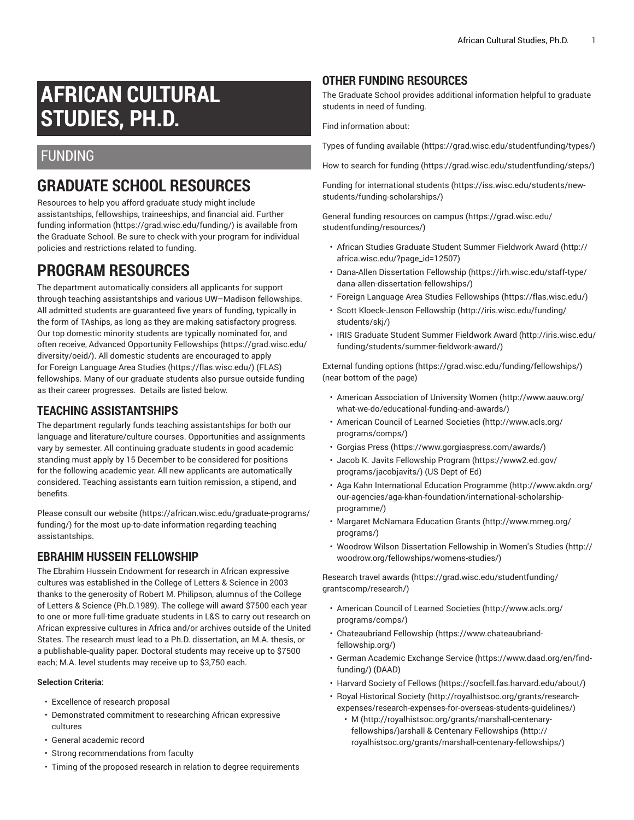# **AFRICAN CULTURAL STUDIES, PH.D.**

### FUNDING

# **GRADUATE SCHOOL RESOURCES**

Resources to help you afford graduate study might include assistantships, fellowships, traineeships, and financial aid. [Further](https://grad.wisc.edu/funding/) [funding information](https://grad.wisc.edu/funding/) ([https://grad.wisc.edu/funding/\)](https://grad.wisc.edu/funding/) is available from the Graduate School. Be sure to check with your program for individual policies and restrictions related to funding.

## **PROGRAM RESOURCES**

The department automatically considers all applicants for support through teaching assistantships and various UW–Madison fellowships. All admitted students are guaranteed five years of funding, typically in the form of TAships, as long as they are making satisfactory progress. Our top domestic minority students are typically nominated for, and often receive, Advanced Opportunity [Fellowships](https://grad.wisc.edu/diversity/oeid/) ([https://grad.wisc.edu/](https://grad.wisc.edu/diversity/oeid/) [diversity/oeid/](https://grad.wisc.edu/diversity/oeid/)). All domestic students are encouraged to apply for Foreign [Language](https://flas.wisc.edu/) Area Studies (<https://flas.wisc.edu/>) (FLAS) fellowships. Many of our graduate students also pursue outside funding as their career progresses. Details are listed below.

### **TEACHING ASSISTANTSHIPS**

The department regularly funds teaching assistantships for both our language and literature/culture courses. Opportunities and assignments vary by semester. All continuing graduate students in good academic standing must apply by 15 December to be considered for positions for the following academic year. All new applicants are automatically considered. Teaching assistants earn tuition remission, a stipend, and benefits.

Please consult [our website \(https://african.wisc.edu/graduate-programs/](https://african.wisc.edu/graduate-programs/funding/) [funding/\)](https://african.wisc.edu/graduate-programs/funding/) for the most up-to-date information regarding teaching assistantships.

### **EBRAHIM HUSSEIN FELLOWSHIP**

The Ebrahim Hussein Endowment for research in African expressive cultures was established in the College of Letters & Science in 2003 thanks to the generosity of Robert M. Philipson, alumnus of the College of Letters & Science (Ph.D.1989). The college will award \$7500 each year to one or more full-time graduate students in L&S to carry out research on African expressive cultures in Africa and/or archives outside of the United States. The research must lead to a Ph.D. dissertation, an M.A. thesis, or a publishable-quality paper. Doctoral students may receive up to \$7500 each; M.A. level students may receive up to \$3,750 each.

#### **Selection Criteria:**

- Excellence of research proposal
- Demonstrated commitment to researching African expressive cultures
- General academic record
- Strong recommendations from faculty
- Timing of the proposed research in relation to degree requirements

### **OTHER FUNDING RESOURCES**

The Graduate School provides additional information helpful to graduate students in need of funding.

Find information about:

Types of funding [available](https://grad.wisc.edu/studentfunding/types/) (<https://grad.wisc.edu/studentfunding/types/>)

How to search for [funding \(https://grad.wisc.edu/studentfunding/steps/\)](https://grad.wisc.edu/studentfunding/steps/)

Funding for [international](https://iss.wisc.edu/students/new-students/funding-scholarships/) students ([https://iss.wisc.edu/students/new](https://iss.wisc.edu/students/new-students/funding-scholarships/)[students/funding-scholarships/\)](https://iss.wisc.edu/students/new-students/funding-scholarships/)

General funding [resources](https://grad.wisc.edu/studentfunding/resources/) on campus [\(https://grad.wisc.edu/](https://grad.wisc.edu/studentfunding/resources/) [studentfunding/resources/\)](https://grad.wisc.edu/studentfunding/resources/)

- African Studies Graduate Student Summer [Fieldwork](http://africa.wisc.edu/?page_id=12507) Award [\(http://](http://africa.wisc.edu/?page_id=12507) [africa.wisc.edu/?page\\_id=12507\)](http://africa.wisc.edu/?page_id=12507)
- Dana-Allen [Dissertation](https://irh.wisc.edu/staff-type/dana-allen-dissertation-fellowships/) Fellowship [\(https://irh.wisc.edu/staff-type/](https://irh.wisc.edu/staff-type/dana-allen-dissertation-fellowships/) [dana-allen-dissertation-fellowships/](https://irh.wisc.edu/staff-type/dana-allen-dissertation-fellowships/))
- Foreign Language Area Studies [Fellowships](https://flas.wisc.edu/) [\(https://flas.wisc.edu/](https://flas.wisc.edu/))
- Scott [Kloeck-Jenson](http://iris.wisc.edu/funding/students/skj/) Fellowship ([http://iris.wisc.edu/funding/](http://iris.wisc.edu/funding/students/skj/) [students/skj/](http://iris.wisc.edu/funding/students/skj/))
- IRIS Graduate Student Summer [Fieldwork](http://iris.wisc.edu/funding/students/summer-fieldwork-award/) Award [\(http://iris.wisc.edu/](http://iris.wisc.edu/funding/students/summer-fieldwork-award/) [funding/students/summer-fieldwork-award/](http://iris.wisc.edu/funding/students/summer-fieldwork-award/))

[External funding options](https://grad.wisc.edu/funding/fellowships/) (<https://grad.wisc.edu/funding/fellowships/>) (near bottom of the page)

- American [Association](http://www.aauw.org/what-we-do/educational-funding-and-awards/) of University Women [\(http://www.aauw.org/](http://www.aauw.org/what-we-do/educational-funding-and-awards/) [what-we-do/educational-funding-and-awards/](http://www.aauw.org/what-we-do/educational-funding-and-awards/))
- [American Council of Learned Societies](http://www.acls.org/programs/comps/) ([http://www.acls.org/](http://www.acls.org/programs/comps/) [programs/comps/](http://www.acls.org/programs/comps/))
- [Gorgias](https://www.gorgiaspress.com/awards/) Press [\(https://www.gorgiaspress.com/awards/\)](https://www.gorgiaspress.com/awards/)
- Jacob K. Javits [Fellowship](https://www2.ed.gov/programs/jacobjavits/) Program ([https://www2.ed.gov/](https://www2.ed.gov/programs/jacobjavits/) [programs/jacobjavits/\)](https://www2.ed.gov/programs/jacobjavits/) (US Dept of Ed)
- Aga Kahn [International](http://www.akdn.org/our-agencies/aga-khan-foundation/international-scholarship-programme/) Education Programme ([http://www.akdn.org/](http://www.akdn.org/our-agencies/aga-khan-foundation/international-scholarship-programme/) [our-agencies/aga-khan-foundation/international-scholarship](http://www.akdn.org/our-agencies/aga-khan-foundation/international-scholarship-programme/)[programme/](http://www.akdn.org/our-agencies/aga-khan-foundation/international-scholarship-programme/))
- Margaret [McNamara](http://www.mmeg.org/programs/) Education Grants ([http://www.mmeg.org/](http://www.mmeg.org/programs/) [programs/](http://www.mmeg.org/programs/))
- Woodrow Wilson [Dissertation](http://woodrow.org/fellowships/womens-studies/) Fellowship in Women's Studies [\(http://](http://woodrow.org/fellowships/womens-studies/) [woodrow.org/fellowships/womens-studies/\)](http://woodrow.org/fellowships/womens-studies/)

[Research](https://grad.wisc.edu/studentfunding/grantscomp/research/) travel awards [\(https://grad.wisc.edu/studentfunding/](https://grad.wisc.edu/studentfunding/grantscomp/research/) [grantscomp/research/\)](https://grad.wisc.edu/studentfunding/grantscomp/research/)

- [American Council of Learned Societies](http://www.acls.org/programs/comps/) ([http://www.acls.org/](http://www.acls.org/programs/comps/) [programs/comps/](http://www.acls.org/programs/comps/))
- [Chateaubriand](https://www.chateaubriand-fellowship.org/) Fellowship [\(https://www.chateaubriand](https://www.chateaubriand-fellowship.org/)[fellowship.org/](https://www.chateaubriand-fellowship.org/))
- German [Academic](https://www.daad.org/en/find-funding/) Exchange Service ([https://www.daad.org/en/find](https://www.daad.org/en/find-funding/)[funding/](https://www.daad.org/en/find-funding/)) (DAAD)
- [Harvard](https://socfell.fas.harvard.edu/about/) Society of Fellows [\(https://socfell.fas.harvard.edu/about/](https://socfell.fas.harvard.edu/about/))
- Royal [Historical](http://royalhistsoc.org/grants/research-expenses/research-expenses-for-overseas-students-guidelines/) Society [\(http://royalhistsoc.org/grants/research](http://royalhistsoc.org/grants/research-expenses/research-expenses-for-overseas-students-guidelines/)[expenses/research-expenses-for-overseas-students-guidelines/](http://royalhistsoc.org/grants/research-expenses/research-expenses-for-overseas-students-guidelines/))
	- [M](http://royalhistsoc.org/grants/marshall-centenary-fellowships/) [\(http://royalhistsoc.org/grants/marshall-centenary](http://royalhistsoc.org/grants/marshall-centenary-fellowships/)[fellowships/\)](http://royalhistsoc.org/grants/marshall-centenary-fellowships/)arshall & Centenary [Fellowships](http://royalhistsoc.org/grants/marshall-centenary-fellowships/) ([http://](http://royalhistsoc.org/grants/marshall-centenary-fellowships/) [royalhistsoc.org/grants/marshall-centenary-fellowships/\)](http://royalhistsoc.org/grants/marshall-centenary-fellowships/)